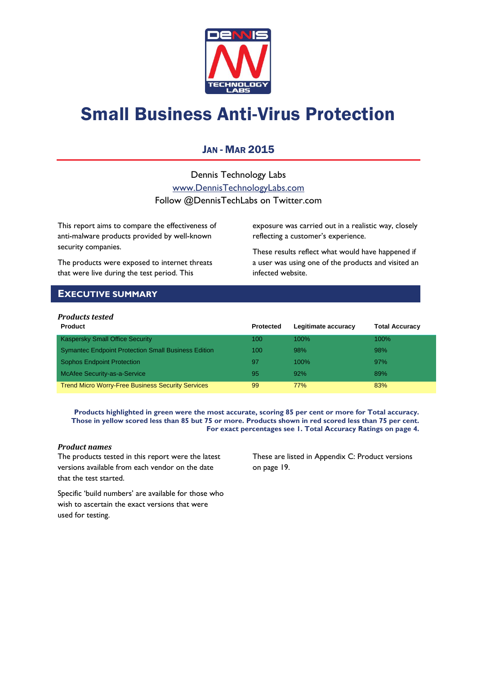

# Small Business Anti-Virus Protection

# JAN - MAR 2015

Dennis Technology Labs [www.DennisTechnologyLabs.com](http://www.dennistechnologylabs.com/) Follow @DennisTechLabs on Twitter.com

This report aims to compare the effectiveness of anti-malware products provided by well-known security companies.

The products were exposed to internet threats that were live during the test period. This

exposure was carried out in a realistic way, closely reflecting a customer's experience.

These results reflect what would have happened if a user was using one of the products and visited an infected website.

# <span id="page-0-0"></span>**EXECUTIVE SUMMARY**

### *Products tested*

| <b>Product</b>                                             | <b>Protected</b> | Legitimate accuracy | <b>Total Accuracy</b> |
|------------------------------------------------------------|------------------|---------------------|-----------------------|
| <b>Kaspersky Small Office Security</b>                     | 100              | $100\%$             | $100\%$               |
| <b>Symantec Endpoint Protection Small Business Edition</b> | 100              | 98%                 | 98%                   |
| <b>Sophos Endpoint Protection</b>                          | 97               | $100\%$             | 97%                   |
| McAfee Security-as-a-Service                               | 95               | 92%                 | 89%                   |
| <b>Trend Micro Worry-Free Business Security Services</b>   | 99               | 77%                 | 83%                   |

**Products highlighted in green were the most accurate, scoring 85 per cent or more for Total accuracy. Those in yellow scored less than 85 but 75 or more. Products shown in red scored less than 75 per cent. For exact percentages see 1. Total Accuracy Ratings on page 4.**

### *Product names*

The products tested in this report were the latest versions available from each vendor on the date that the test started.

These are listed in [Appendix C: Product versions](#page-19-0) on page 19.

Specific 'build numbers' are available for those who wish to ascertain the exact versions that were used for testing.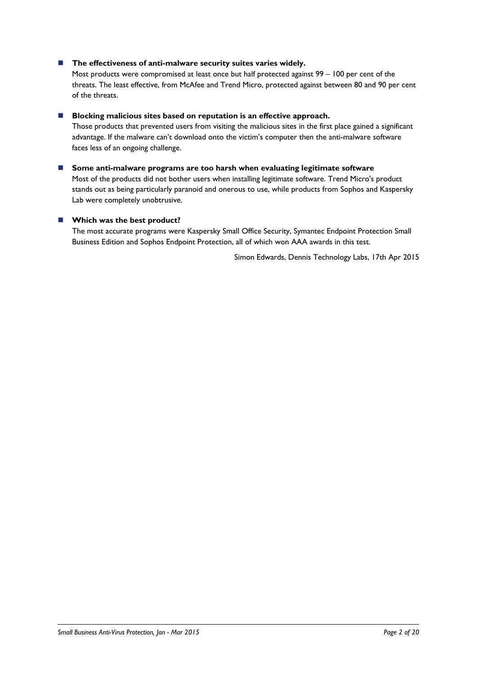### ■ The effectiveness of anti-malware security suites varies widely.

Most products were compromised at least once but half protected against 99 – 100 per cent of the threats. The least effective, from McAfee and Trend Micro, protected against between 80 and 90 per cent of the threats.

### **Blocking malicious sites based on reputation is an effective approach.**

Those products that prevented users from visiting the malicious sites in the first place gained a significant advantage. If the malware can't download onto the victim's computer then the anti-malware software faces less of an ongoing challenge.

### **Some anti-malware programs are too harsh when evaluating legitimate software**

Most of the products did not bother users when installing legitimate software. Trend Micro's product stands out as being particularly paranoid and onerous to use, while products from Sophos and Kaspersky Lab were completely unobtrusive.

### **Which was the best product?**

The most accurate programs were Kaspersky Small Office Security, Symantec Endpoint Protection Small Business Edition and Sophos Endpoint Protection, all of which won AAA awards in this test.

Simon Edwards, Dennis Technology Labs, 17th Apr 2015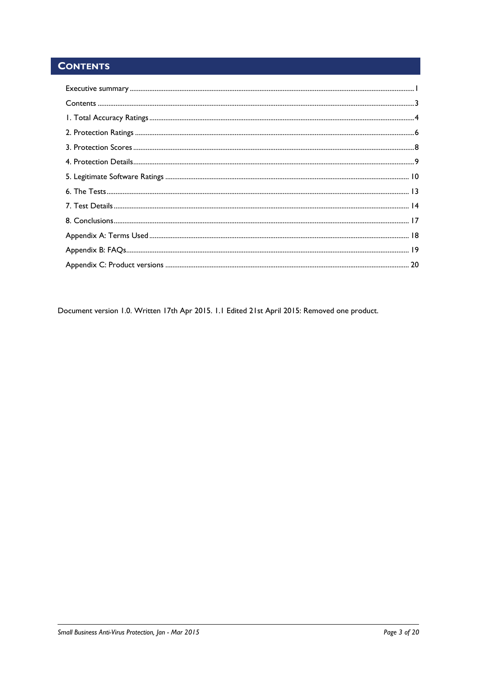# <span id="page-2-0"></span>**CONTENTS**

Document version 1.0. Written 17th Apr 2015. 1.1 Edited 21st April 2015: Removed one product.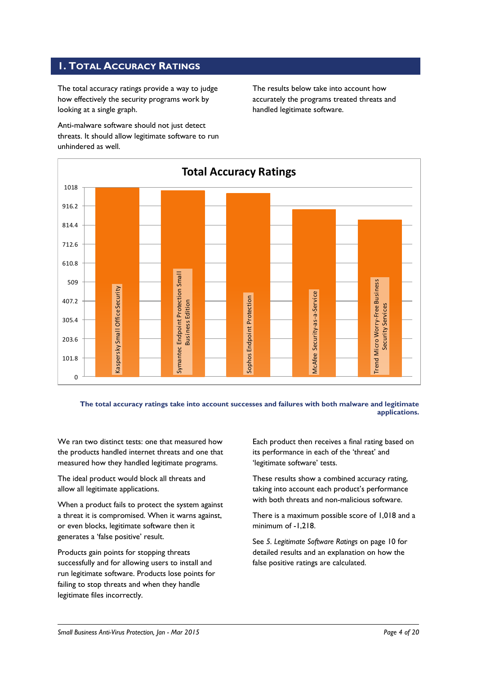# <span id="page-3-0"></span>**1. TOTAL ACCURACY RATINGS**

The total accuracy ratings provide a way to judge how effectively the security programs work by looking at a single graph.

Anti-malware software should not just detect threats. It should allow legitimate software to run unhindered as well.

The results below take into account how accurately the programs treated threats and handled legitimate software.



**The total accuracy ratings take into account successes and failures with both malware and legitimate applications.**

We ran two distinct tests: one that measured how the products handled internet threats and one that measured how they handled legitimate programs.

The ideal product would block all threats and allow all legitimate applications.

When a product fails to protect the system against a threat it is compromised. When it warns against, or even blocks, legitimate software then it generates a 'false positive' result.

Products gain points for stopping threats successfully and for allowing users to install and run legitimate software. Products lose points for failing to stop threats and when they handle legitimate files incorrectly.

Each product then receives a final rating based on its performance in each of the 'threat' and 'legitimate software' tests.

These results show a combined accuracy rating, taking into account each product's performance with both threats and non-malicious software.

There is a maximum possible score of 1,018 and a minimum of -1,218.

See *5. Legitimate Software Ratings* on page 10 for detailed results and an explanation on how the false positive ratings are calculated.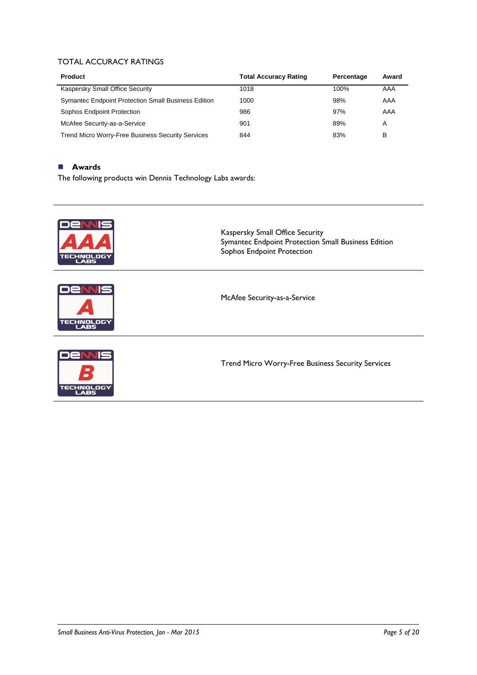### TOTAL ACCURACY RATINGS

| <b>Product</b>                                             | <b>Total Accuracy Rating</b> | Percentage | Award |
|------------------------------------------------------------|------------------------------|------------|-------|
| Kaspersky Small Office Security                            | 1018                         | 100%       | AAA   |
| <b>Symantec Endpoint Protection Small Business Edition</b> | 1000                         | 98%        | AAA   |
| Sophos Endpoint Protection                                 | 986                          | 97%        | AAA   |
| McAfee Security-as-a-Service                               | 901                          | 89%        | A     |
| <b>Trend Micro Worry-Free Business Security Services</b>   | 844                          | 83%        | в     |

### **Awards**

The following products win Dennis Technology Labs awards:

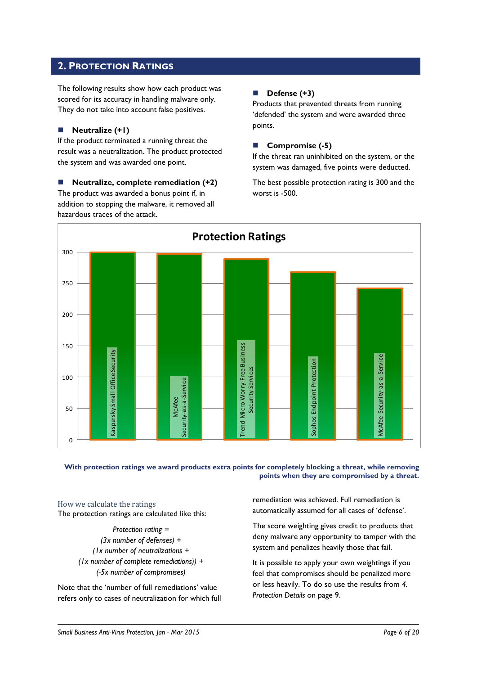# <span id="page-5-0"></span>**2. PROTECTION RATINGS**

The following results show how each product was scored for its accuracy in handling malware only. They do not take into account false positives.

### **Neutralize (+1)**

If the product terminated a running threat the result was a neutralization. The product protected the system and was awarded one point.

 **Neutralize, complete remediation (+2)** The product was awarded a bonus point if, in addition to stopping the malware, it removed all hazardous traces of the attack.

### **Defense (+3)**

Products that prevented threats from running 'defended' the system and were awarded three points.

### **Compromise (-5)**

If the threat ran uninhibited on the system, or the system was damaged, five points were deducted.

The best possible protection rating is 300 and the worst is -500.



### **With protection ratings we award products extra points for completely blocking a threat, while removing points when they are compromised by a threat.**

How we calculate the ratings The protection ratings are calculated like this:

> *Protection rating = (3x number of defenses) + (1x number of neutralizations + (1x number of complete remediations)) + (-5x number of compromises)*

Note that the 'number of full remediations' value refers only to cases of neutralization for which full

remediation was achieved. Full remediation is automatically assumed for all cases of 'defense'.

The score weighting gives credit to products that deny malware any opportunity to tamper with the system and penalizes heavily those that fail.

It is possible to apply your own weightings if you feel that compromises should be penalized more or less heavily. To do so use the results from *4. Protection Details* on page 9.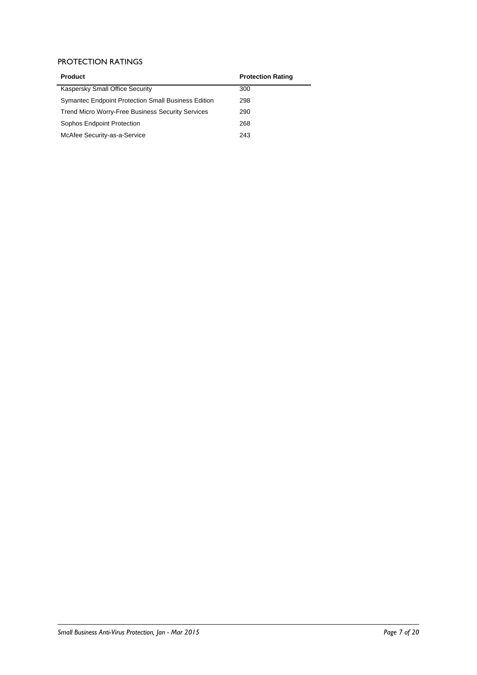### PROTECTION RATINGS

| <b>Product</b>                                             | <b>Protection Rating</b> |
|------------------------------------------------------------|--------------------------|
| Kaspersky Small Office Security                            | 300                      |
| <b>Symantec Endpoint Protection Small Business Edition</b> | 298                      |
| <b>Trend Micro Worry-Free Business Security Services</b>   | 290                      |
| Sophos Endpoint Protection                                 | 268                      |
| McAfee Security-as-a-Service                               | 243                      |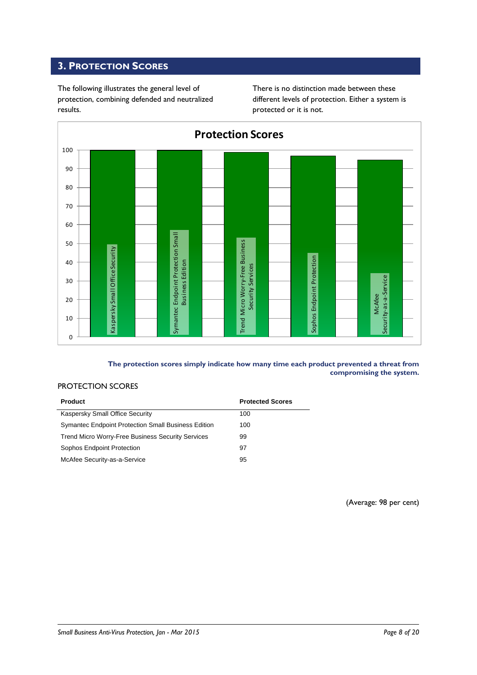# <span id="page-7-0"></span>**3. PROTECTION SCORES**

The following illustrates the general level of protection, combining defended and neutralized results.

There is no distinction made between these different levels of protection. Either a system is protected or it is not.



### **The protection scores simply indicate how many time each product prevented a threat from compromising the system.**

### PROTECTION SCORES

| <b>Product</b>                                             | <b>Protected Scores</b> |
|------------------------------------------------------------|-------------------------|
| Kaspersky Small Office Security                            | 100                     |
| <b>Symantec Endpoint Protection Small Business Edition</b> | 100                     |
| <b>Trend Micro Worry-Free Business Security Services</b>   | 99                      |
| Sophos Endpoint Protection                                 | 97                      |
| McAfee Security-as-a-Service                               | 95                      |

(Average: 98 per cent)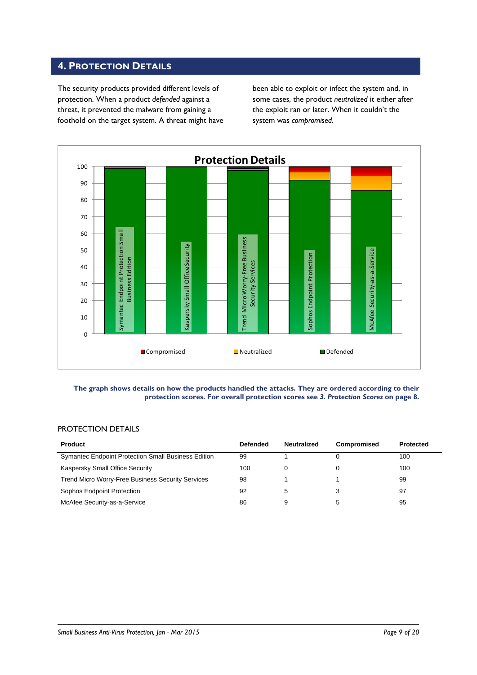# <span id="page-8-0"></span>**4. PROTECTION DETAILS**

The security products provided different levels of protection. When a product *defended* against a threat, it prevented the malware from gaining a foothold on the target system. A threat might have

been able to exploit or infect the system and, in some cases, the product *neutralized* it either after the exploit ran or later. When it couldn't the system was *compromised*.



#### **The graph shows details on how the products handled the attacks. They are ordered according to their protection scores. For overall protection scores see** *3. Protection Scores* **on page 8.**

### PROTECTION DETAILS

| Product                                                    | Defended | <b>Neutralized</b> | <b>Compromised</b> | Protected |
|------------------------------------------------------------|----------|--------------------|--------------------|-----------|
| <b>Symantec Endpoint Protection Small Business Edition</b> | 99       |                    |                    | 100       |
| Kaspersky Small Office Security                            | 100      | 0                  |                    | 100       |
| <b>Trend Micro Worry-Free Business Security Services</b>   | 98       |                    |                    | 99        |
| Sophos Endpoint Protection                                 | 92       | 5                  |                    | 97        |
| McAfee Security-as-a-Service                               | 86       | 9                  |                    | 95        |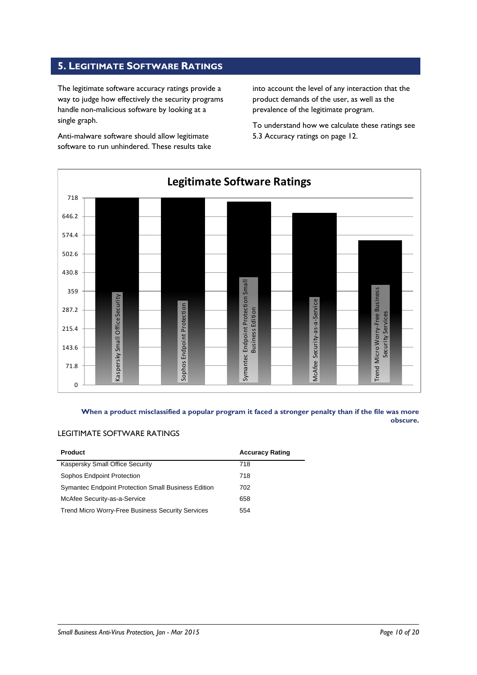# <span id="page-9-0"></span>**5. LEGITIMATE SOFTWARE RATINGS**

The legitimate software accuracy ratings provide a way to judge how effectively the security programs handle non-malicious software by looking at a single graph.

Anti-malware software should allow legitimate software to run unhindered. These results take

into account the level of any interaction that the product demands of the user, as well as the prevalence of the legitimate program.

To understand how we calculate these ratings see 5.3 Accuracy ratings on page 12.



**When a product misclassified a popular program it faced a stronger penalty than if the file was more obscure.**

### LEGITIMATE SOFTWARE RATINGS

| <b>Product</b>                                             | <b>Accuracy Rating</b> |
|------------------------------------------------------------|------------------------|
| Kaspersky Small Office Security                            | 718                    |
| Sophos Endpoint Protection                                 | 718                    |
| <b>Symantec Endpoint Protection Small Business Edition</b> | 702                    |
| McAfee Security-as-a-Service                               | 658                    |
| <b>Trend Micro Worry-Free Business Security Services</b>   | 554                    |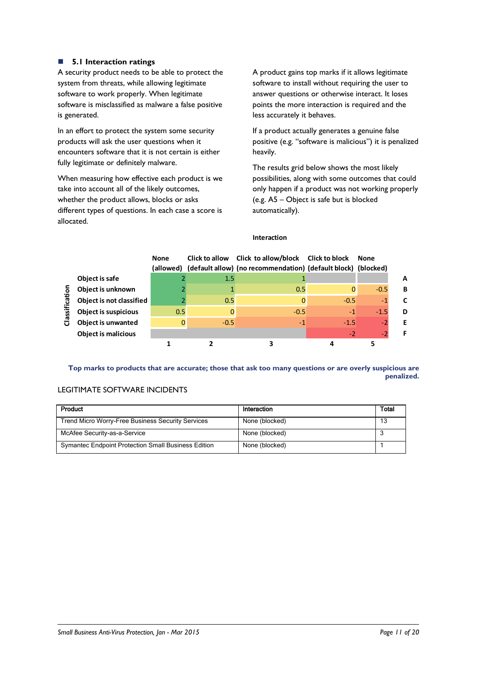### **5.1 Interaction ratings**

A security product needs to be able to protect the system from threats, while allowing legitimate software to work properly. When legitimate software is misclassified as malware a false positive is generated.

In an effort to protect the system some security products will ask the user questions when it encounters software that it is not certain is either fully legitimate or definitely malware.

When measuring how effective each product is we take into account all of the likely outcomes, whether the product allows, blocks or asks different types of questions. In each case a score is allocated.

A product gains top marks if it allows legitimate software to install without requiring the user to answer questions or otherwise interact. It loses points the more interaction is required and the less accurately it behaves.

If a product actually generates a genuine false positive (e.g. "software is malicious") it is penalized heavily.

The results grid below shows the most likely possibilities, along with some outcomes that could only happen if a product was not working properly (e.g. A5 – Object is safe but is blocked automatically).

#### **Interaction**

|             |                             | <b>None</b><br>(allowed) |        | Click to allow Click to allow/block Click to block<br>(default allow) (no recommendation) (default block) (blocked) |        | None   |   |
|-------------|-----------------------------|--------------------------|--------|---------------------------------------------------------------------------------------------------------------------|--------|--------|---|
|             | Object is safe              |                          | 1.5    |                                                                                                                     |        |        | A |
| ∘           | Object is unknown           |                          |        | 0.5                                                                                                                 |        | $-0.5$ | B |
| <u>ថ្ងៃ</u> | Object is not classified    |                          | 0.5    | O                                                                                                                   | $-0.5$ | $-1$   |   |
| Classif     | <b>Object is suspicious</b> | 0.5                      |        | $-0.5$                                                                                                              | $-1$   | $-1.5$ | D |
|             | Object is unwanted          |                          | $-0.5$ | $-1$                                                                                                                | $-1.5$ | $-2$   | Е |
|             | <b>Object is malicious</b>  |                          |        |                                                                                                                     | $-2$   | $-2$   |   |
|             |                             |                          |        |                                                                                                                     |        |        |   |

**Top marks to products that are accurate; those that ask too many questions or are overly suspicious are penalized.**

### LEGITIMATE SOFTWARE INCIDENTS

| Product                                                    | Interaction    | <b>Total</b> |
|------------------------------------------------------------|----------------|--------------|
| Trend Micro Worry-Free Business Security Services          | None (blocked) | 13           |
| McAfee Security-as-a-Service                               | None (blocked) |              |
| <b>Symantec Endpoint Protection Small Business Edition</b> | None (blocked) |              |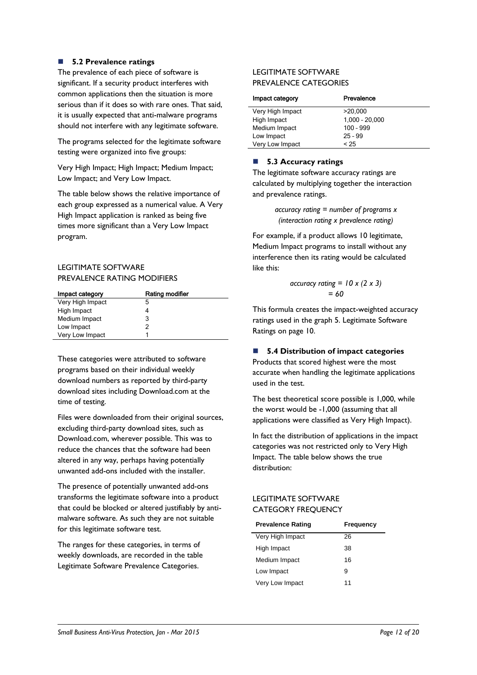### **5.2 Prevalence ratings**

The prevalence of each piece of software is significant. If a security product interferes with common applications then the situation is more serious than if it does so with rare ones. That said, it is usually expected that anti-malware programs should not interfere with any legitimate software.

The programs selected for the legitimate software testing were organized into five groups:

Very High Impact; High Impact; Medium Impact; Low Impact; and Very Low Impact.

The table below shows the relative importance of each group expressed as a numerical value. A Very High Impact application is ranked as being five times more significant than a Very Low Impact program.

### LEGITIMATE SOFTWARE PREVALENCE RATING MODIFIERS

| Impact category  | Rating modifier |
|------------------|-----------------|
| Very High Impact | 5               |
| High Impact      | 4               |
| Medium Impact    | 3               |
| Low Impact       | 2               |
| Very Low Impact  |                 |

These categories were attributed to software programs based on their individual weekly download numbers as reported by third-party download sites including Download.com at the time of testing.

Files were downloaded from their original sources, excluding third-party download sites, such as Download.com, wherever possible. This was to reduce the chances that the software had been altered in any way, perhaps having potentially unwanted add-ons included with the installer.

The presence of potentially unwanted add-ons transforms the legitimate software into a product that could be blocked or altered justifiably by antimalware software. As such they are not suitable for this legitimate software test.

The ranges for these categories, in terms of weekly downloads, are recorded in the table Legitimate Software Prevalence Categories.

### LEGITIMATE SOFTWARE PREVALENCE CATEGORIES

| Impact category  | Prevalence       |
|------------------|------------------|
| Very High Impact | >20,000          |
| High Impact      | $1,000 - 20,000$ |
| Medium Impact    | $100 - 999$      |
| Low Impact       | $25 - 99$        |
| Very Low Impact  | < 25             |

### ■ 5.3 Accuracy ratings

The legitimate software accuracy ratings are calculated by multiplying together the interaction and prevalence ratings.

> *accuracy rating = number of programs x (interaction rating x prevalence rating)*

For example, if a product allows 10 legitimate, Medium Impact programs to install without any interference then its rating would be calculated like this:

$$
\begin{aligned} \text{accuracy rating} &= 10 \times (2 \times 3) \\ &= 60 \end{aligned}
$$

This formula creates the impact-weighted accuracy ratings used in the graph 5. Legitimate Software Ratings on page 10.

### **5.4 Distribution of impact categories**

Products that scored highest were the most accurate when handling the legitimate applications used in the test.

The best theoretical score possible is 1,000, while the worst would be -1,000 (assuming that all applications were classified as Very High Impact).

In fact the distribution of applications in the impact categories was not restricted only to Very High Impact. The table below shows the true distribution:

### LEGITIMATE SOFTWARE CATEGORY FREQUENCY

| <b>Prevalence Rating</b> | Frequency |
|--------------------------|-----------|
| Very High Impact         | 26        |
| High Impact              | 38        |
| Medium Impact            | 16        |
| Low Impact               | 9         |
| Very Low Impact          | 11        |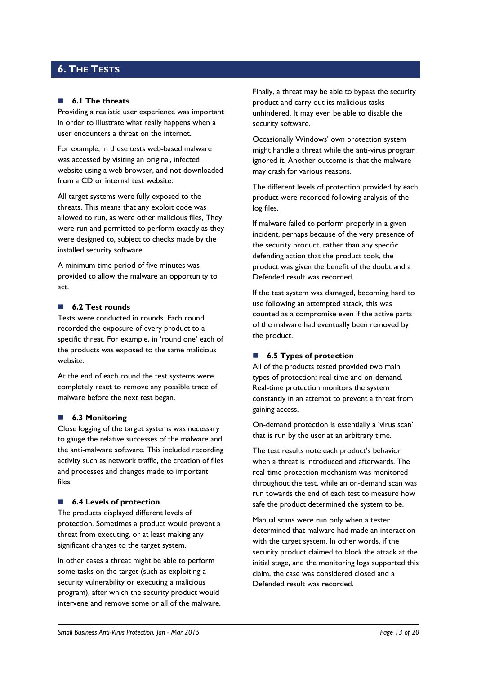# <span id="page-12-0"></span>**6. THE TESTS**

### **6.1 The threats**

Providing a realistic user experience was important in order to illustrate what really happens when a user encounters a threat on the internet.

For example, in these tests web-based malware was accessed by visiting an original, infected website using a web browser, and not downloaded from a CD or internal test website.

All target systems were fully exposed to the threats. This means that any exploit code was allowed to run, as were other malicious files, They were run and permitted to perform exactly as they were designed to, subject to checks made by the installed security software.

A minimum time period of five minutes was provided to allow the malware an opportunity to act.

### **6.2 Test rounds**

Tests were conducted in rounds. Each round recorded the exposure of every product to a specific threat. For example, in 'round one' each of the products was exposed to the same malicious website.

At the end of each round the test systems were completely reset to remove any possible trace of malware before the next test began.

#### **6.3 Monitoring**

Close logging of the target systems was necessary to gauge the relative successes of the malware and the anti-malware software. This included recording activity such as network traffic, the creation of files and processes and changes made to important files.

#### ■ 6.4 Levels of protection

The products displayed different levels of protection. Sometimes a product would prevent a threat from executing, or at least making any significant changes to the target system.

In other cases a threat might be able to perform some tasks on the target (such as exploiting a security vulnerability or executing a malicious program), after which the security product would intervene and remove some or all of the malware.

Finally, a threat may be able to bypass the security product and carry out its malicious tasks unhindered. It may even be able to disable the security software.

Occasionally Windows' own protection system might handle a threat while the anti-virus program ignored it. Another outcome is that the malware may crash for various reasons.

The different levels of protection provided by each product were recorded following analysis of the log files.

If malware failed to perform properly in a given incident, perhaps because of the very presence of the security product, rather than any specific defending action that the product took, the product was given the benefit of the doubt and a Defended result was recorded.

If the test system was damaged, becoming hard to use following an attempted attack, this was counted as a compromise even if the active parts of the malware had eventually been removed by the product.

### ■ **6.5 Types of protection**

All of the products tested provided two main types of protection: real-time and on-demand. Real-time protection monitors the system constantly in an attempt to prevent a threat from gaining access.

On-demand protection is essentially a 'virus scan' that is run by the user at an arbitrary time.

The test results note each product's behavior when a threat is introduced and afterwards. The real-time protection mechanism was monitored throughout the test, while an on-demand scan was run towards the end of each test to measure how safe the product determined the system to be.

Manual scans were run only when a tester determined that malware had made an interaction with the target system. In other words, if the security product claimed to block the attack at the initial stage, and the monitoring logs supported this claim, the case was considered closed and a Defended result was recorded.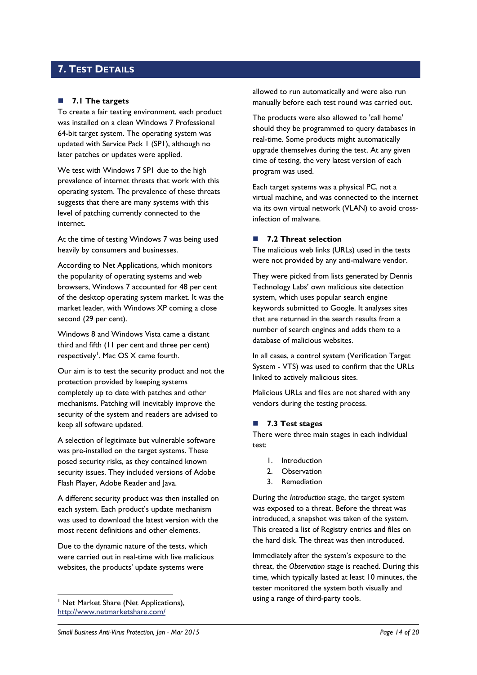# <span id="page-13-0"></span>**7. TEST DETAILS**

### **7.1 The targets**

To create a fair testing environment, each product was installed on a clean Windows 7 Professional 64-bit target system. The operating system was updated with Service Pack 1 (SP1), although no later patches or updates were applied.

We test with Windows 7 SP1 due to the high prevalence of internet threats that work with this operating system. The prevalence of these threats suggests that there are many systems with this level of patching currently connected to the internet.

At the time of testing Windows 7 was being used heavily by consumers and businesses.

According to Net Applications, which monitors the popularity of operating systems and web browsers, Windows 7 accounted for 48 per cent of the desktop operating system market. It was the market leader, with Windows XP coming a close second (29 per cent).

Windows 8 and Windows Vista came a distant third and fifth (11 per cent and three per cent) respectively<sup>1</sup>. Mac OS X came fourth.

Our aim is to test the security product and not the protection provided by keeping systems completely up to date with patches and other mechanisms. Patching will inevitably improve the security of the system and readers are advised to keep all software updated.

A selection of legitimate but vulnerable software was pre-installed on the target systems. These posed security risks, as they contained known security issues. They included versions of Adobe Flash Player, Adobe Reader and Java.

A different security product was then installed on each system. Each product's update mechanism was used to download the latest version with the most recent definitions and other elements.

Due to the dynamic nature of the tests, which were carried out in real-time with live malicious websites, the products' update systems were

<sup>1</sup> Net Market Share (Net Applications), <http://www.netmarketshare.com/>

1

allowed to run automatically and were also run manually before each test round was carried out.

The products were also allowed to 'call home' should they be programmed to query databases in real-time. Some products might automatically upgrade themselves during the test. At any given time of testing, the very latest version of each program was used.

Each target systems was a physical PC, not a virtual machine, and was connected to the internet via its own virtual network (VLAN) to avoid crossinfection of malware.

### ■ 7.2 Threat selection

The malicious web links (URLs) used in the tests were not provided by any anti-malware vendor.

They were picked from lists generated by Dennis Technology Labs' own malicious site detection system, which uses popular search engine keywords submitted to Google. It analyses sites that are returned in the search results from a number of search engines and adds them to a database of malicious websites.

In all cases, a control system (Verification Target System - VTS) was used to confirm that the URLs linked to actively malicious sites.

Malicious URLs and files are not shared with any vendors during the testing process.

### <span id="page-13-1"></span>**7.3 Test stages**

There were three main stages in each individual test:

- 1. Introduction
- 2. Observation
- 3. Remediation

During the *Introduction* stage, the target system was exposed to a threat. Before the threat was introduced, a snapshot was taken of the system. This created a list of Registry entries and files on the hard disk. The threat was then introduced.

Immediately after the system's exposure to the threat, the *Observation* stage is reached. During this time, which typically lasted at least 10 minutes, the tester monitored the system both visually and using a range of third-party tools.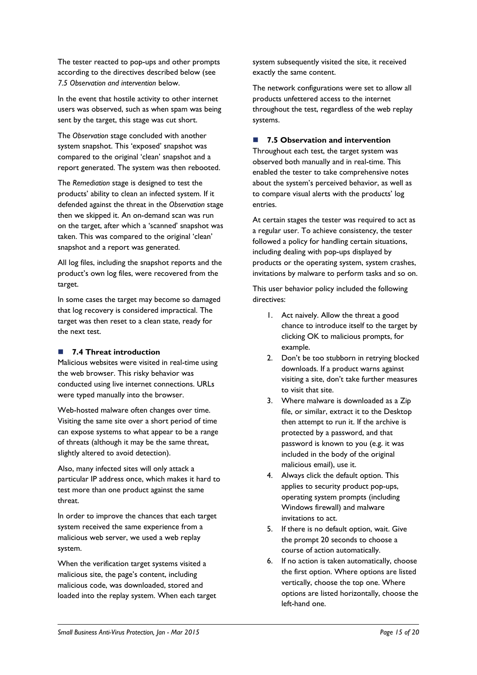The tester reacted to pop-ups and other prompts according to the directives described below (see *7.5 Observation and intervention* below.

In the event that hostile activity to other internet users was observed, such as when spam was being sent by the target, this stage was cut short.

The *Observation* stage concluded with another system snapshot. This 'exposed' snapshot was compared to the original 'clean' snapshot and a report generated. The system was then rebooted.

The *Remediation* stage is designed to test the products' ability to clean an infected system. If it defended against the threat in the *Observation* stage then we skipped it. An on-demand scan was run on the target, after which a 'scanned' snapshot was taken. This was compared to the original 'clean' snapshot and a report was generated.

All log files, including the snapshot reports and the product's own log files, were recovered from the target.

In some cases the target may become so damaged that log recovery is considered impractical. The target was then reset to a clean state, ready for the next test.

### **7.4 Threat introduction**

Malicious websites were visited in real-time using the web browser. This risky behavior was conducted using live internet connections. URLs were typed manually into the browser.

Web-hosted malware often changes over time. Visiting the same site over a short period of time can expose systems to what appear to be a range of threats (although it may be the same threat, slightly altered to avoid detection).

Also, many infected sites will only attack a particular IP address once, which makes it hard to test more than one product against the same threat.

In order to improve the chances that each target system received the same experience from a malicious web server, we used a web replay system.

When the verification target systems visited a malicious site, the page's content, including malicious code, was downloaded, stored and loaded into the replay system. When each target system subsequently visited the site, it received exactly the same content.

The network configurations were set to allow all products unfettered access to the internet throughout the test, regardless of the web replay systems.

### **7.5 Observation and intervention**

Throughout each test, the target system was observed both manually and in real-time. This enabled the tester to take comprehensive notes about the system's perceived behavior, as well as to compare visual alerts with the products' log entries.

At certain stages the tester was required to act as a regular user. To achieve consistency, the tester followed a policy for handling certain situations, including dealing with pop-ups displayed by products or the operating system, system crashes, invitations by malware to perform tasks and so on.

This user behavior policy included the following directives:

- 1. Act naively. Allow the threat a good chance to introduce itself to the target by clicking OK to malicious prompts, for example.
- 2. Don't be too stubborn in retrying blocked downloads. If a product warns against visiting a site, don't take further measures to visit that site.
- 3. Where malware is downloaded as a Zip file, or similar, extract it to the Desktop then attempt to run it. If the archive is protected by a password, and that password is known to you (e.g. it was included in the body of the original malicious email), use it.
- 4. Always click the default option. This applies to security product pop-ups, operating system prompts (including Windows firewall) and malware invitations to act.
- 5. If there is no default option, wait. Give the prompt 20 seconds to choose a course of action automatically.
- 6. If no action is taken automatically, choose the first option. Where options are listed vertically, choose the top one. Where options are listed horizontally, choose the left-hand one.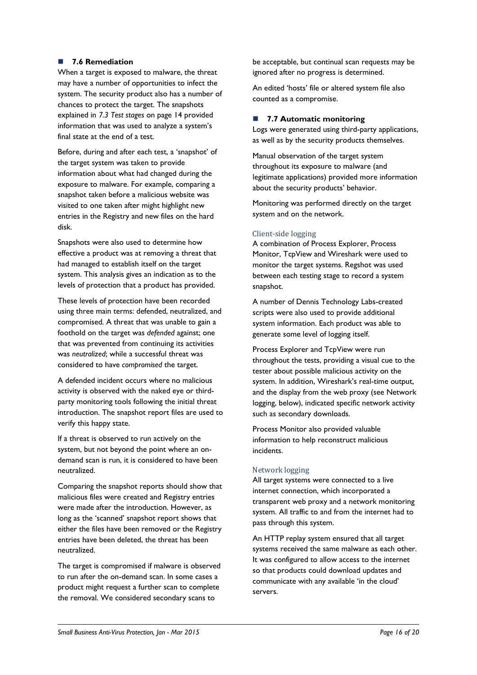### **7.6 Remediation**

When a target is exposed to malware, the threat may have a number of opportunities to infect the system. The security product also has a number of chances to protect the target. The snapshots explained in *7.3 Test stages* [on page 14](#page-13-1) provided information that was used to analyze a system's final state at the end of a test.

Before, during and after each test, a 'snapshot' of the target system was taken to provide information about what had changed during the exposure to malware. For example, comparing a snapshot taken before a malicious website was visited to one taken after might highlight new entries in the Registry and new files on the hard disk.

Snapshots were also used to determine how effective a product was at removing a threat that had managed to establish itself on the target system. This analysis gives an indication as to the levels of protection that a product has provided.

These levels of protection have been recorded using three main terms: defended, neutralized, and compromised. A threat that was unable to gain a foothold on the target was *defended* against; one that was prevented from continuing its activities was *neutralized*; while a successful threat was considered to have *compromised* the target.

A defended incident occurs where no malicious activity is observed with the naked eye or thirdparty monitoring tools following the initial threat introduction. The snapshot report files are used to verify this happy state.

If a threat is observed to run actively on the system, but not beyond the point where an ondemand scan is run, it is considered to have been neutralized.

Comparing the snapshot reports should show that malicious files were created and Registry entries were made after the introduction. However, as long as the 'scanned' snapshot report shows that either the files have been removed or the Registry entries have been deleted, the threat has been neutralized.

The target is compromised if malware is observed to run after the on-demand scan. In some cases a product might request a further scan to complete the removal. We considered secondary scans to

be acceptable, but continual scan requests may be ignored after no progress is determined.

An edited 'hosts' file or altered system file also counted as a compromise.

### **7.7 Automatic monitoring**

Logs were generated using third-party applications, as well as by the security products themselves.

Manual observation of the target system throughout its exposure to malware (and legitimate applications) provided more information about the security products' behavior.

Monitoring was performed directly on the target system and on the network.

### Client-side logging

A combination of Process Explorer, Process Monitor, TcpView and Wireshark were used to monitor the target systems. Regshot was used between each testing stage to record a system snapshot.

A number of Dennis Technology Labs-created scripts were also used to provide additional system information. Each product was able to generate some level of logging itself.

Process Explorer and TcpView were run throughout the tests, providing a visual cue to the tester about possible malicious activity on the system. In addition, Wireshark's real-time output, and the display from the web proxy (see Network logging, below), indicated specific network activity such as secondary downloads.

Process Monitor also provided valuable information to help reconstruct malicious incidents.

### Network logging

All target systems were connected to a live internet connection, which incorporated a transparent web proxy and a network monitoring system. All traffic to and from the internet had to pass through this system.

An HTTP replay system ensured that all target systems received the same malware as each other. It was configured to allow access to the internet so that products could download updates and communicate with any available 'in the cloud' servers.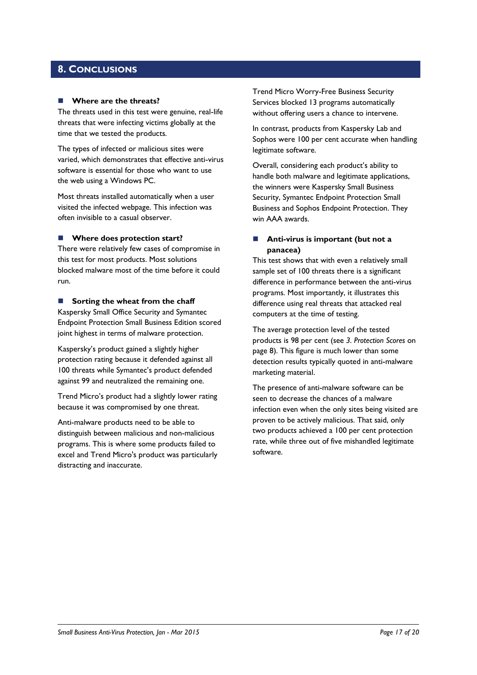### <span id="page-16-0"></span>**8. CONCLUSIONS**

### **Where are the threats?**

The threats used in this test were genuine, real-life threats that were infecting victims globally at the time that we tested the products.

The types of infected or malicious sites were varied, which demonstrates that effective anti-virus software is essential for those who want to use the web using a Windows PC.

Most threats installed automatically when a user visited the infected webpage. This infection was often invisible to a casual observer.

#### ■ Where does protection start?

There were relatively few cases of compromise in this test for most products. Most solutions blocked malware most of the time before it could run.

### **Sorting the wheat from the chaff**

Kaspersky Small Office Security and Symantec Endpoint Protection Small Business Edition scored joint highest in terms of malware protection.

Kaspersky's product gained a slightly higher protection rating because it defended against all 100 threats while Symantec's product defended against 99 and neutralized the remaining one.

Trend Micro's product had a slightly lower rating because it was compromised by one threat.

Anti-malware products need to be able to distinguish between malicious and non-malicious programs. This is where some products failed to excel and Trend Micro's product was particularly distracting and inaccurate.

Trend Micro Worry-Free Business Security Services blocked 13 programs automatically without offering users a chance to intervene.

In contrast, products from Kaspersky Lab and Sophos were 100 per cent accurate when handling legitimate software.

Overall, considering each product's ability to handle both malware and legitimate applications, the winners were Kaspersky Small Business Security, Symantec Endpoint Protection Small Business and Sophos Endpoint Protection. They win AAA awards.

### **Anti-virus is important (but not a panacea)**

This test shows that with even a relatively small sample set of 100 threats there is a significant difference in performance between the anti-virus programs. Most importantly, it illustrates this difference using real threats that attacked real computers at the time of testing.

The average protection level of the tested products is 98 per cent (see *3. Protection Scores* on page 8). This figure is much lower than some detection results typically quoted in anti-malware marketing material.

The presence of anti-malware software can be seen to decrease the chances of a malware infection even when the only sites being visited are proven to be actively malicious. That said, only two products achieved a 100 per cent protection rate, while three out of five mishandled legitimate software.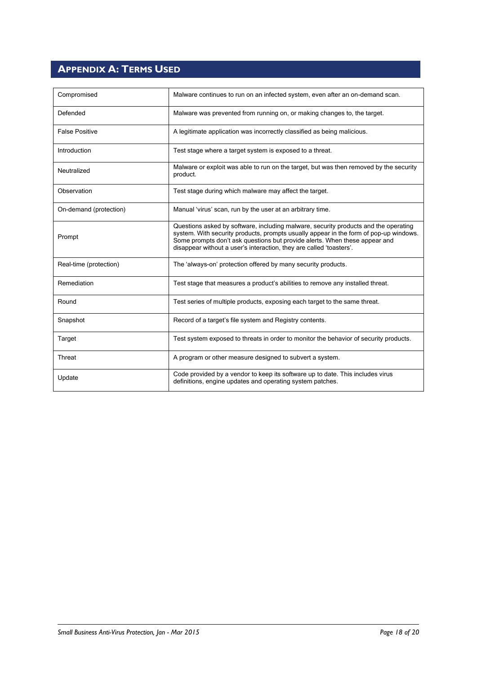# <span id="page-17-0"></span>**APPENDIX A: TERMS USED**

| Compromised            | Malware continues to run on an infected system, even after an on-demand scan.                                                                                                                                                                                                                                                     |
|------------------------|-----------------------------------------------------------------------------------------------------------------------------------------------------------------------------------------------------------------------------------------------------------------------------------------------------------------------------------|
| Defended               | Malware was prevented from running on, or making changes to, the target.                                                                                                                                                                                                                                                          |
| <b>False Positive</b>  | A legitimate application was incorrectly classified as being malicious.                                                                                                                                                                                                                                                           |
| Introduction           | Test stage where a target system is exposed to a threat.                                                                                                                                                                                                                                                                          |
| Neutralized            | Malware or exploit was able to run on the target, but was then removed by the security<br>product.                                                                                                                                                                                                                                |
| Observation            | Test stage during which malware may affect the target.                                                                                                                                                                                                                                                                            |
| On-demand (protection) | Manual 'virus' scan, run by the user at an arbitrary time.                                                                                                                                                                                                                                                                        |
| Prompt                 | Questions asked by software, including malware, security products and the operating<br>system. With security products, prompts usually appear in the form of pop-up windows.<br>Some prompts don't ask questions but provide alerts. When these appear and<br>disappear without a user's interaction, they are called 'toasters'. |
| Real-time (protection) | The 'always-on' protection offered by many security products.                                                                                                                                                                                                                                                                     |
| Remediation            | Test stage that measures a product's abilities to remove any installed threat.                                                                                                                                                                                                                                                    |
| Round                  | Test series of multiple products, exposing each target to the same threat.                                                                                                                                                                                                                                                        |
| Snapshot               | Record of a target's file system and Registry contents.                                                                                                                                                                                                                                                                           |
| Target                 | Test system exposed to threats in order to monitor the behavior of security products.                                                                                                                                                                                                                                             |
| Threat                 | A program or other measure designed to subvert a system.                                                                                                                                                                                                                                                                          |
| Update                 | Code provided by a vendor to keep its software up to date. This includes virus<br>definitions, engine updates and operating system patches.                                                                                                                                                                                       |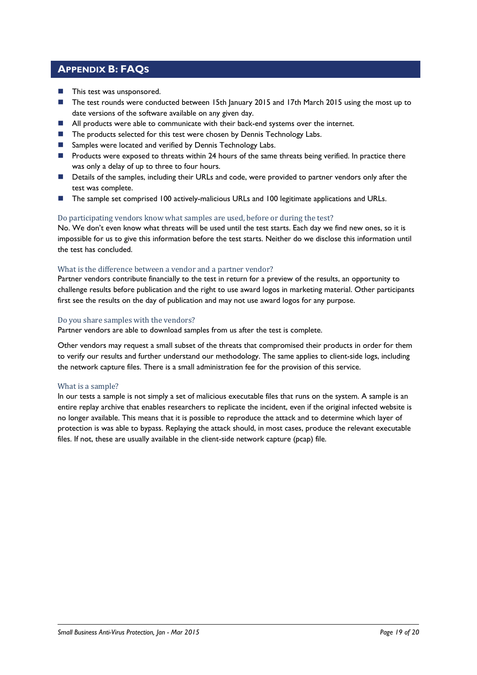# <span id="page-18-0"></span>**APPENDIX B: FAQS**

- **This test was unsponsored.**
- The test rounds were conducted between 15th January 2015 and 17th March 2015 using the most up to date versions of the software available on any given day.
- All products were able to communicate with their back-end systems over the internet.
- The products selected for this test were chosen by Dennis Technology Labs.
- Samples were located and verified by Dennis Technology Labs.
- **Products were exposed to threats within 24 hours of the same threats being verified. In practice there** was only a delay of up to three to four hours.
- **Details of the samples, including their URLs and code, were provided to partner vendors only after the** test was complete.
- The sample set comprised 100 actively-malicious URLs and 100 legitimate applications and URLs.

### Do participating vendors know what samples are used, before or during the test?

No. We don't even know what threats will be used until the test starts. Each day we find new ones, so it is impossible for us to give this information before the test starts. Neither do we disclose this information until the test has concluded.

### What is the difference between a vendor and a partner vendor?

Partner vendors contribute financially to the test in return for a preview of the results, an opportunity to challenge results before publication and the right to use award logos in marketing material. Other participants first see the results on the day of publication and may not use award logos for any purpose.

### Do you share samples with the vendors?

Partner vendors are able to download samples from us after the test is complete.

Other vendors may request a small subset of the threats that compromised their products in order for them to verify our results and further understand our methodology. The same applies to client-side logs, including the network capture files. There is a small administration fee for the provision of this service.

### What is a sample?

In our tests a sample is not simply a set of malicious executable files that runs on the system. A sample is an entire replay archive that enables researchers to replicate the incident, even if the original infected website is no longer available. This means that it is possible to reproduce the attack and to determine which layer of protection is was able to bypass. Replaying the attack should, in most cases, produce the relevant executable files. If not, these are usually available in the client-side network capture (pcap) file.